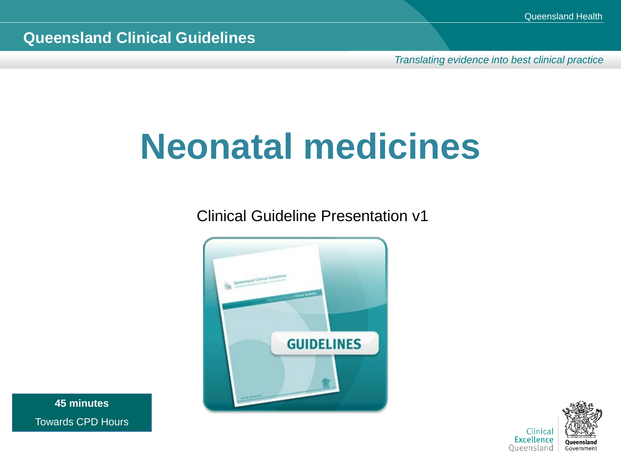*Translating evidence into best clinical practice*

# **Neonatal medicines**

Clinical Guideline Presentation v1



**45 minutes** Towards CPD Hours

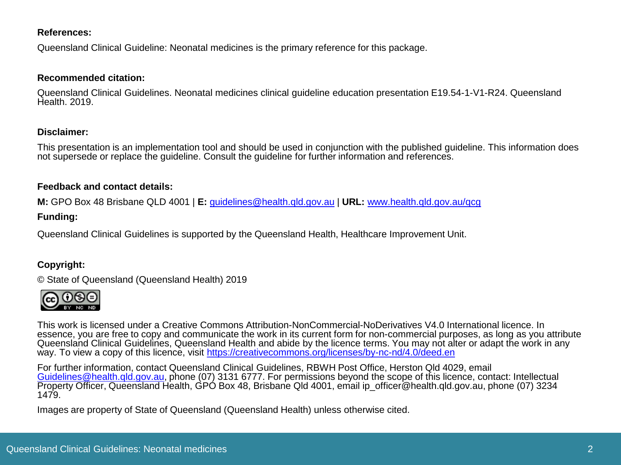#### **References:**

Queensland Clinical Guideline: Neonatal medicines is the primary reference for this package.

#### **Recommended citation:**

Queensland Clinical Guidelines. Neonatal medicines clinical guideline education presentation E19.54-1-V1-R24. Queensland Health. 2019.

#### **Disclaimer:**

This presentation is an implementation tool and should be used in conjunction with the published guideline. This information does not supersede or replace the guideline. Consult the guideline for further information and references.

#### **Feedback and contact details:**

**M:** GPO Box 48 Brisbane QLD 4001 | **E:** [guidelines@health.qld.gov.au](mailto:guidelines@health.qld.gov.au) | **URL:** [www.health.qld.gov.au/qcg](http://www.health.qld.gov.au/qcg)

#### **Funding:**

Queensland Clinical Guidelines is supported by the Queensland Health, Healthcare Improvement Unit.

#### **Copyright:**

© State of Queensland (Queensland Health) 2019



This work is licensed under a Creative Commons Attribution-NonCommercial-NoDerivatives V4.0 International licence. In essence, you are free to copy and communicate the work in its current form for non-commercial purposes, as long as you attribute Queensland Clinical Guidelines, Queensland Health and abide by the licence terms. You may not alter or adapt the work in any way. To view a copy of this licence, visit <https://creativecommons.org/licenses/by-nc-nd/4.0/deed.en>

For further information, contact Queensland Clinical Guidelines, RBWH Post Office, Herston Qld 4029, email<br>Guidelines@health.gld.gov.au, phone (07) 3131 6777. For permissions beyond the scope of this licence, contact: Inte [Property Officer, Queensland H](mailto:Guidelines@health.qld.gov.au)ealth, GPO Box 48, Brisbane Qld 4001, email ip officer@health.gld.gov.au, phone (07) 3234 1479.

Images are property of State of Queensland (Queensland Health) unless otherwise cited.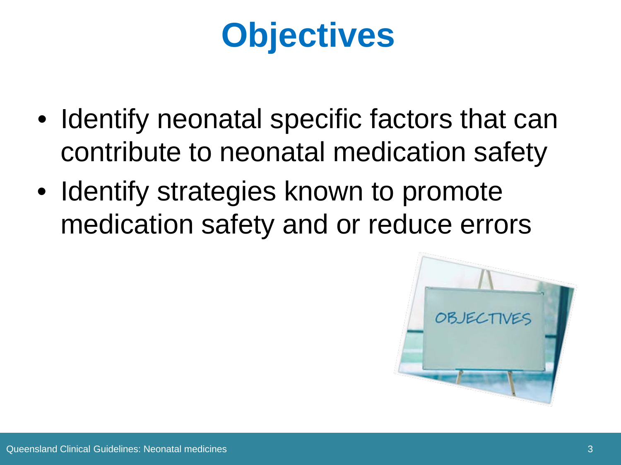# **Objectives**

- Identify neonatal specific factors that can contribute to neonatal medication safety
- Identify strategies known to promote medication safety and or reduce errors

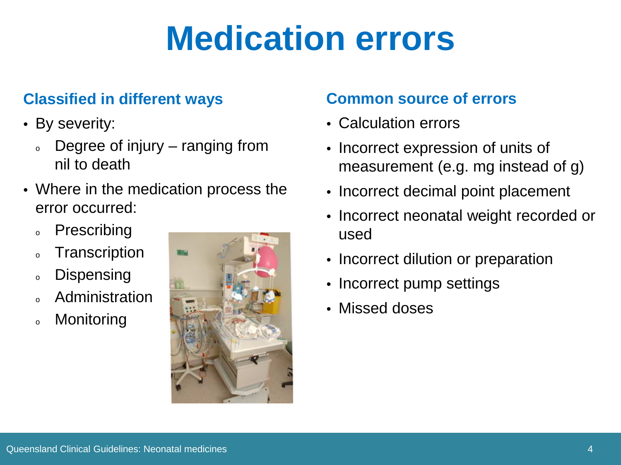## **Medication errors**

### **Classified in different ways**

- By severity:
	- Degree of injury  $-$  ranging from nil to death
- Where in the medication process the error occurred:
	- <sup>o</sup> Prescribing
	- <sup>o</sup> Transcription
	- o Dispensing
	- **Administration**
	- <sup>o</sup> Monitoring



### **Common source of errors**

- Calculation errors
- Incorrect expression of units of measurement (e.g. mg instead of g)
- Incorrect decimal point placement
- Incorrect neonatal weight recorded or used
- Incorrect dilution or preparation
- Incorrect pump settings
- Missed doses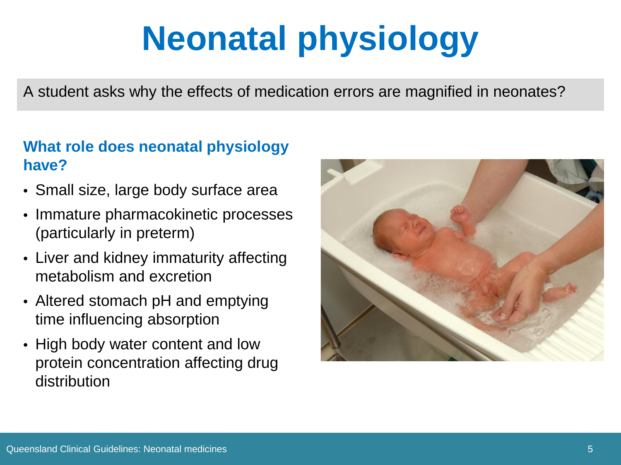# **Neonatal physiology**

A student asks why the effects of medication errors are magnified in neonates?

### **What role does neonatal physiology have?**

- Small size, large body surface area
- Immature pharmacokinetic processes (particularly in preterm)
- Liver and kidney immaturity affecting metabolism and excretion
- Altered stomach pH and emptying time influencing absorption
- High body water content and low protein concentration affecting drug distribution

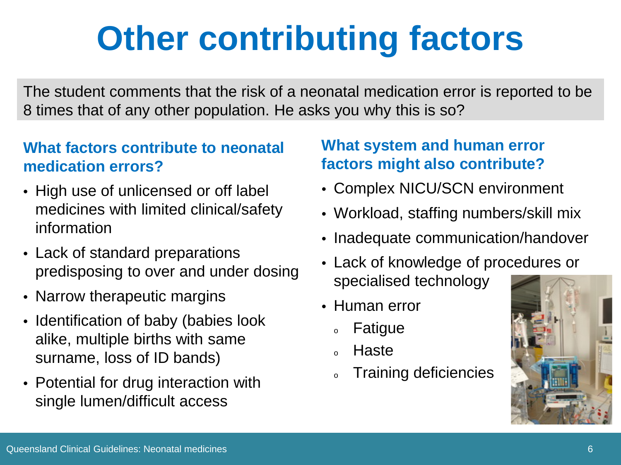# **Other contributing factors**

The student comments that the risk of a neonatal medication error is reported to be 8 times that of any other population. He asks you why this is so?

### **What factors contribute to neonatal medication errors?**

- High use of unlicensed or off label medicines with limited clinical/safety information
- Lack of standard preparations predisposing to over and under dosing
- Narrow therapeutic margins
- Identification of baby (babies look alike, multiple births with same surname, loss of ID bands)
- Potential for drug interaction with single lumen/difficult access

### **What system and human error factors might also contribute?**

- Complex NICU/SCN environment
- Workload, staffing numbers/skill mix
- Inadequate communication/handover
- Lack of knowledge of procedures or specialised technology
- Human error
	- <sup>o</sup> Fatigue
	- <sup>o</sup> Haste
	- o Training deficiencies

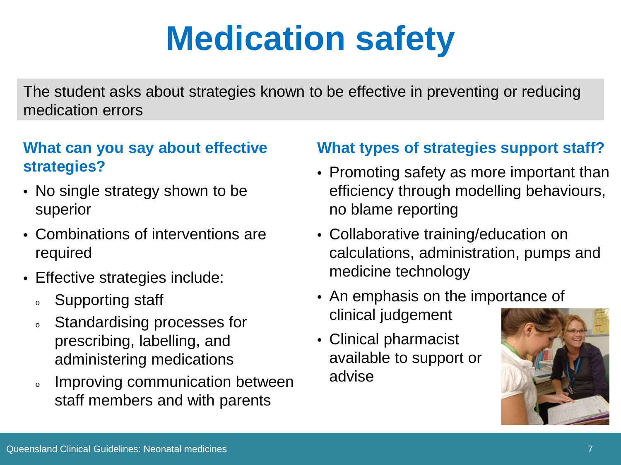# **Medication safety**

The student asks about strategies known to be effective in preventing or reducing medication errors

### **What can you say about effective strategies?**

- No single strategy shown to be superior
- Combinations of interventions are required
- Effective strategies include:
	- s Supporting staff
	- <sup>o</sup> Standardising processes for prescribing, labelling, and administering medications
	- o Improving communication between staff members and with parents

#### **What types of strategies support staff?**

- Promoting safety as more important than efficiency through modelling behaviours, no blame reporting
- Collaborative training/education on calculations, administration, pumps and medicine technology
- An emphasis on the importance of clinical judgement
- Clinical pharmacist available to support or advise

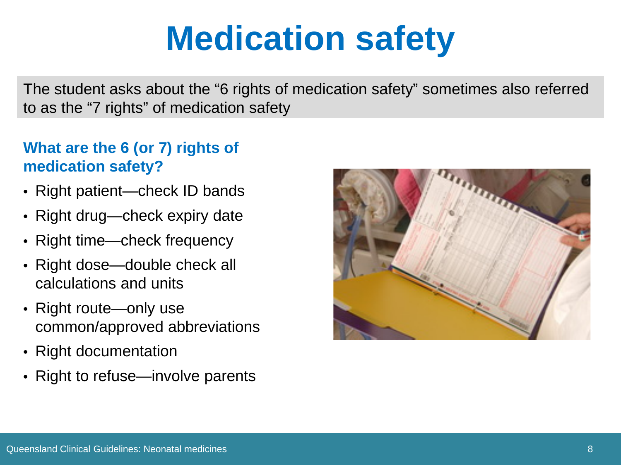## **Medication safety**

The student asks about the "6 rights of medication safety" sometimes also referred to as the "7 rights" of medication safety

### **What are the 6 (or 7) rights of medication safety?**

- Right patient—check ID bands
- Right drug—check expiry date
- Right time—check frequency
- Right dose—double check all calculations and units
- Right route—only use common/approved abbreviations
- Right documentation
- Right to refuse—involve parents

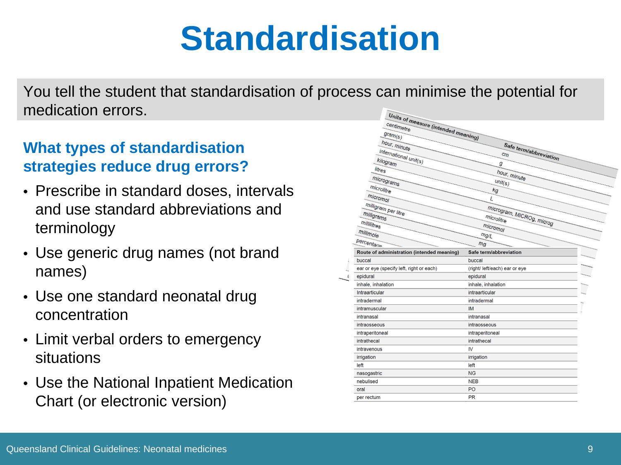## **Standardisation**

You tell the student that standardisation of process can minimise the potential for medication errors.

### **What types of standardisation strategies reduce drug errors?**

- Prescribe in standard doses, intervals and use standard abbreviations and terminology
- Use generic drug names (not brand names)
- Use one standard neonatal drug concentration
- Limit verbal orders to emergency situations
- Use the National Inpatient Medication Chart (or electronic version)

| Units of measure (intended meaning)        |                                         |
|--------------------------------------------|-----------------------------------------|
| centimetre                                 |                                         |
|                                            |                                         |
| $\mathit{Gram}_{(S)}$                      |                                         |
| hour, minute                               | Safe term/abbreviation                  |
| international unit(s)                      | cm                                      |
| kilogram                                   | g                                       |
| litres                                     | hour, minute                            |
| micrograms                                 | $\text{unit}(s)$                        |
| microlitre                                 | kg                                      |
| micromol                                   | L                                       |
|                                            |                                         |
| milligram per litre                        |                                         |
| milligrams                                 | microgram, MICROg, microg<br>microlitre |
| millilitres                                | micromol                                |
| millimole                                  | mg/L                                    |
| percentage                                 | m <sub>q</sub>                          |
| Route of administration (intended meaning) | Safe term/abbreviation                  |
| buccal                                     | buccal                                  |
| ear or eye (specify left, right or each)   | (right/ left/each) ear or eye           |
| epidural                                   | epidural                                |
| inhale, inhalation                         | inhale, inhalation                      |
| Intraarticular                             | intraarticular                          |
| intradermal                                | intradermal                             |
| intramuscular                              | <b>IM</b>                               |
| intranasal                                 | intranasal                              |
| intraosseous                               | intraosseous                            |
| intraperitoneal                            | intraperitoneal                         |
| intrathecal                                | intrathecal                             |
| intravenous                                | IV                                      |
| irrigation                                 | irrigation                              |
| left                                       | left                                    |
| nasogastric                                | <b>NG</b>                               |
| nebulised                                  | <b>NEB</b>                              |
| oral                                       | PO                                      |
| per rectum                                 | <b>PR</b>                               |
|                                            |                                         |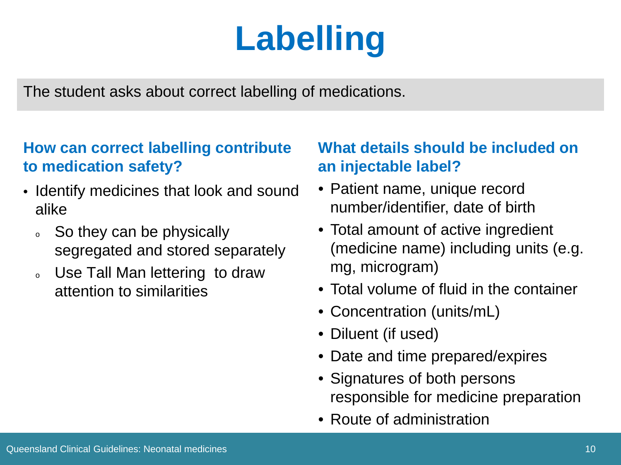# **Labelling**

The student asks about correct labelling of medications.

### **How can correct labelling contribute to medication safety?**

- Identify medicines that look and sound alike
	- So they can be physically segregated and stored separately
	- o Use Tall Man lettering to draw attention to similarities

### **What details should be included on an injectable label?**

- Patient name, unique record number/identifier, date of birth
- Total amount of active ingredient (medicine name) including units (e.g. mg, microgram)
- Total volume of fluid in the container
- Concentration (units/mL)
- Diluent (if used)
- Date and time prepared/expires
- Signatures of both persons responsible for medicine preparation
- Route of administration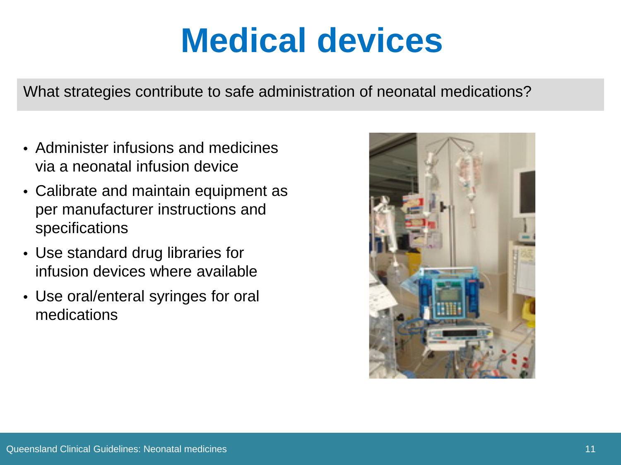## **Medical devices**

What strategies contribute to safe administration of neonatal medications?

- Administer infusions and medicines via a neonatal infusion device
- Calibrate and maintain equipment as per manufacturer instructions and specifications
- Use standard drug libraries for infusion devices where available
- Use oral/enteral syringes for oral medications

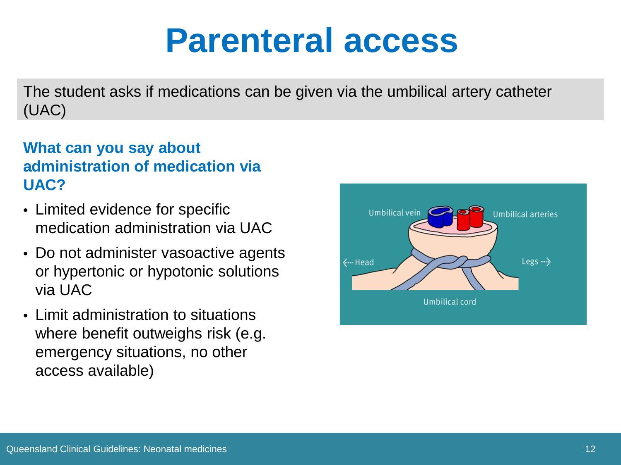### **Parenteral access**

The student asks if medications can be given via the umbilical artery catheter (UAC)

### **What can you say about administration of medication via UAC?**

- Limited evidence for specific medication administration via UAC
- Do not administer vasoactive agents or hypertonic or hypotonic solutions via UAC
- Limit administration to situations where benefit outweighs risk (e.g. emergency situations, no other access available)